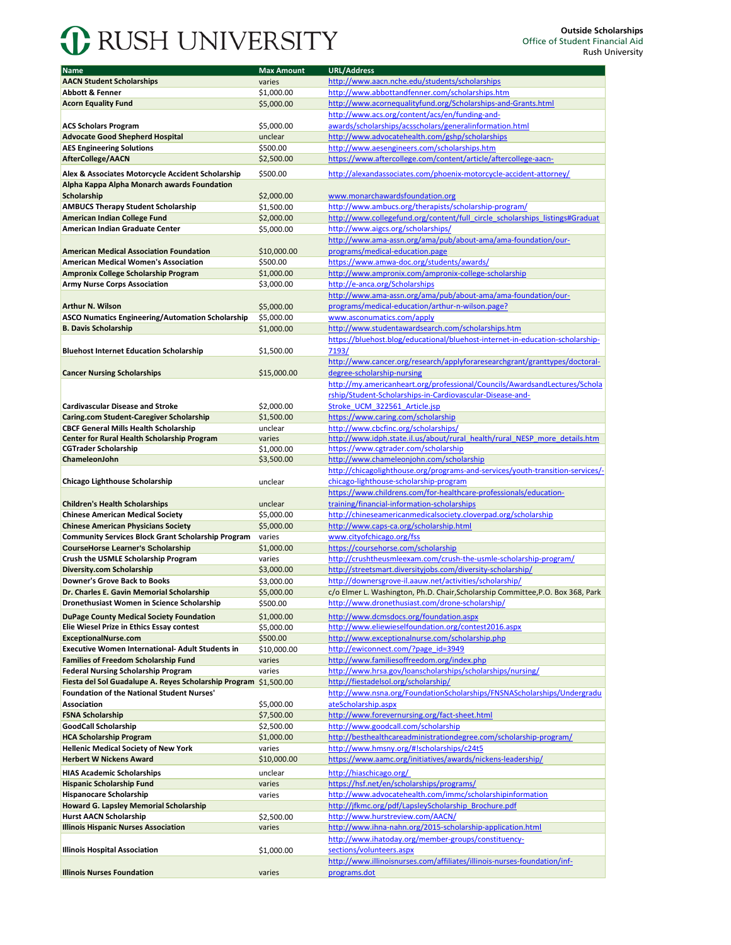## **C** RUSH UNIVERSITY

| Name                                                             | <b>Max Amount</b> | <b>URL/Address</b>                                                              |
|------------------------------------------------------------------|-------------------|---------------------------------------------------------------------------------|
| <b>AACN Student Scholarships</b>                                 | varies            | http://www.aacn.nche.edu/students/scholarships                                  |
| <b>Abbott &amp; Fenner</b>                                       |                   | http://www.abbottandfenner.com/scholarships.htm                                 |
|                                                                  | \$1,000.00        |                                                                                 |
| <b>Acorn Equality Fund</b>                                       | \$5,000.00        | http://www.acornequalityfund.org/Scholarships-and-Grants.html                   |
|                                                                  |                   | http://www.acs.org/content/acs/en/funding-and-                                  |
| <b>ACS Scholars Program</b>                                      | \$5,000.00        | awards/scholarships/acsscholars/generalinformation.html                         |
| <b>Advocate Good Shepherd Hospital</b>                           | unclear           | http://www.advocatehealth.com/gshp/scholarships                                 |
| <b>AES Engineering Solutions</b>                                 | \$500.00          | http://www.aesengineers.com/scholarships.htm                                    |
| <b>AfterCollege/AACN</b>                                         | \$2,500.00        | https://www.aftercollege.com/content/article/aftercollege-aacn-                 |
| Alex & Associates Motorcycle Accident Scholarship                | \$500.00          | http://alexandassociates.com/phoenix-motorcycle-accident-attorney/              |
| Alpha Kappa Alpha Monarch awards Foundation                      |                   |                                                                                 |
| <b>Scholarship</b>                                               | \$2,000.00        | www.monarchawardsfoundation.org                                                 |
| <b>AMBUCS Therapy Student Scholarship</b>                        | \$1,500.00        | http://www.ambucs.org/therapists/scholarship-program/                           |
| American Indian College Fund                                     | \$2,000.00        | http://www.collegefund.org/content/full_circle_scholarships_listings#Graduat    |
| American Indian Graduate Center                                  | \$5,000.00        | http://www.aigcs.org/scholarships/                                              |
|                                                                  |                   | http://www.ama-assn.org/ama/pub/about-ama/ama-foundation/our-                   |
|                                                                  |                   |                                                                                 |
| <b>American Medical Association Foundation</b>                   | \$10,000.00       | programs/medical-education.page                                                 |
| <b>American Medical Women's Association</b>                      | \$500.00          | https://www.amwa-doc.org/students/awards/                                       |
| Ampronix College Scholarship Program                             | \$1,000.00        | http://www.ampronix.com/ampronix-college-scholarship                            |
| <b>Army Nurse Corps Association</b>                              | \$3,000.00        | http://e-anca.org/Scholarships                                                  |
|                                                                  |                   | http://www.ama-assn.org/ama/pub/about-ama/ama-foundation/our-                   |
| <b>Arthur N. Wilson</b>                                          | \$5,000.00        | programs/medical-education/arthur-n-wilson.page?                                |
| <b>ASCO Numatics Engineering/Automation Scholarship</b>          | \$5,000.00        | www.asconumatics.com/apply                                                      |
| <b>B. Davis Scholarship</b>                                      | \$1,000.00        | http://www.studentawardsearch.com/scholarships.htm                              |
|                                                                  |                   | https://bluehost.blog/educational/bluehost-internet-in-education-scholarship-   |
| <b>Bluehost Internet Education Scholarship</b>                   | \$1,500.00        | 7193/                                                                           |
|                                                                  |                   | http://www.cancer.org/research/applyforaresearchgrant/granttypes/doctoral-      |
| <b>Cancer Nursing Scholarships</b>                               | \$15,000.00       | degree-scholarship-nursing                                                      |
|                                                                  |                   | http://my.americanheart.org/professional/Councils/AwardsandLectures/Schola      |
|                                                                  |                   | rship/Student-Scholarships-in-Cardiovascular-Disease-and-                       |
| <b>Cardivascular Disease and Stroke</b>                          | \$2.000.00        | Stroke UCM 322561 Article.jsp                                                   |
| Caring.com Student-Caregiver Scholarship                         | \$1,500.00        | https://www.caring.com/scholarship                                              |
| <b>CBCF General Mills Health Scholarship</b>                     | unclear           | http://www.cbcfinc.org/scholarships/                                            |
| Center for Rural Health Scholarship Program                      | varies            | http://www.idph.state.il.us/about/rural_health/rural_NESP_more_details.htm      |
| <b>CGTrader Scholarship</b>                                      | \$1,000.00        | https://www.cgtrader.com/scholarship                                            |
| ChameleonJohn                                                    | \$3,500.00        | http://www.chameleonjohn.com/scholarship                                        |
|                                                                  |                   | http://chicagolighthouse.org/programs-and-services/youth-transition-services/-  |
| <b>Chicago Lighthouse Scholarship</b>                            | unclear           | chicago-lighthouse-scholarship-program                                          |
|                                                                  |                   | https://www.childrens.com/for-healthcare-professionals/education-               |
| <b>Children's Health Scholarships</b>                            | unclear           | training/financial-information-scholarships                                     |
| <b>Chinese American Medical Society</b>                          | \$5,000.00        | http://chineseamericanmedicalsociety.cloverpad.org/scholarship                  |
| <b>Chinese American Physicians Society</b>                       | \$5,000.00        | http://www.caps-ca.org/scholarship.html                                         |
| <b>Community Services Block Grant Scholarship Program</b>        | varies            | www.cityofchicago.org/fss                                                       |
| <b>CourseHorse Learner's Scholarship</b>                         | \$1,000.00        | https://coursehorse.com/scholarship                                             |
| Crush the USMLE Scholarship Program                              | varies            | http://crushtheusmleexam.com/crush-the-usmle-scholarship-program/               |
| Diversity.com Scholarship                                        | \$3,000.00        | http://streetsmart.diversityjobs.com/diversity-scholarship/                     |
| <b>Downer's Grove Back to Books</b>                              | \$3,000.00        | http://downersgrove-il.aauw.net/activities/scholarship/                         |
| Dr. Charles E. Gavin Memorial Scholarship                        | \$5,000.00        | c/o Elmer L. Washington, Ph.D. Chair, Scholarship Committee, P.O. Box 368, Park |
| Dronethusiast Women in Science Scholarship                       |                   | http://www.dronethusiast.com/drone-scholarship/                                 |
|                                                                  | \$500.00          |                                                                                 |
| <b>DuPage County Medical Society Foundation</b>                  | \$1,000.00        | http://www.dcmsdocs.org/foundation.aspx                                         |
| Elie Wiesel Prize in Ethics Essay contest                        | \$5,000.00        | http://www.eliewieselfoundation.org/contest2016.aspx                            |
| ExceptionalNurse.com                                             | \$500.00          | http://www.exceptionalnurse.com/scholarship.php                                 |
| <b>Executive Women International- Adult Students in</b>          | \$10,000.00       | http://ewiconnect.com/?page_id=3949                                             |
| <b>Families of Freedom Scholarship Fund</b>                      | varies            | http://www.familiesoffreedom.org/index.php                                      |
| <b>Federal Nursing Scholarship Program</b>                       | varies            | http://www.hrsa.gov/loanscholarships/scholarships/nursing/                      |
| Fiesta del Sol Guadalupe A. Reyes Scholarship Program \$1,500.00 |                   | http://fiestadelsol.org/scholarship/                                            |
| <b>Foundation of the National Student Nurses'</b>                |                   | http://www.nsna.org/FoundationScholarships/FNSNAScholarships/Undergradu         |
| <b>Association</b>                                               | \$5,000.00        | ateScholarship.aspx                                                             |
| <b>FSNA Scholarship</b>                                          | \$7,500.00        | http://www.forevernursing.org/fact-sheet.html                                   |
| <b>GoodCall Scholarship</b>                                      | \$2,500.00        | http://www.goodcall.com/scholarship                                             |
| <b>HCA Scholarship Program</b>                                   | \$1,000.00        | http://besthealthcareadministrationdegree.com/scholarship-program/              |
| <b>Hellenic Medical Society of New York</b>                      | varies            | http://www.hmsny.org/#!scholarships/c24t5                                       |
| <b>Herbert W Nickens Award</b>                                   | \$10,000.00       | https://www.aamc.org/initiatives/awards/nickens-leadership/                     |
| <b>HIAS Academic Scholarships</b>                                | unclear           | http://hiaschicago.org/                                                         |
| <b>Hispanic Scholarship Fund</b>                                 | varies            | https://hsf.net/en/scholarships/programs/                                       |
| Hispanocare Scholarship                                          | varies            | http://www.advocatehealth.com/immc/scholarshipinformation                       |
| Howard G. Lapsley Memorial Scholarship                           |                   | http://jfkmc.org/pdf/LapsleyScholarship Brochure.pdf                            |
| <b>Hurst AACN Scholarship</b>                                    | \$2,500.00        | http://www.hurstreview.com/AACN/                                                |
| <b>Illinois Hispanic Nurses Association</b>                      | varies            | http://www.ihna-nahn.org/2015-scholarship-application.html                      |
|                                                                  |                   | http://www.ihatoday.org/member-groups/constituency-                             |
| <b>Illinois Hospital Association</b>                             |                   | sections/volunteers.aspx                                                        |
|                                                                  | \$1,000.00        | http://www.illinoisnurses.com/affiliates/illinois-nurses-foundation/inf-        |
|                                                                  |                   |                                                                                 |
| <b>Illinois Nurses Foundation</b>                                | varies            | programs.dot                                                                    |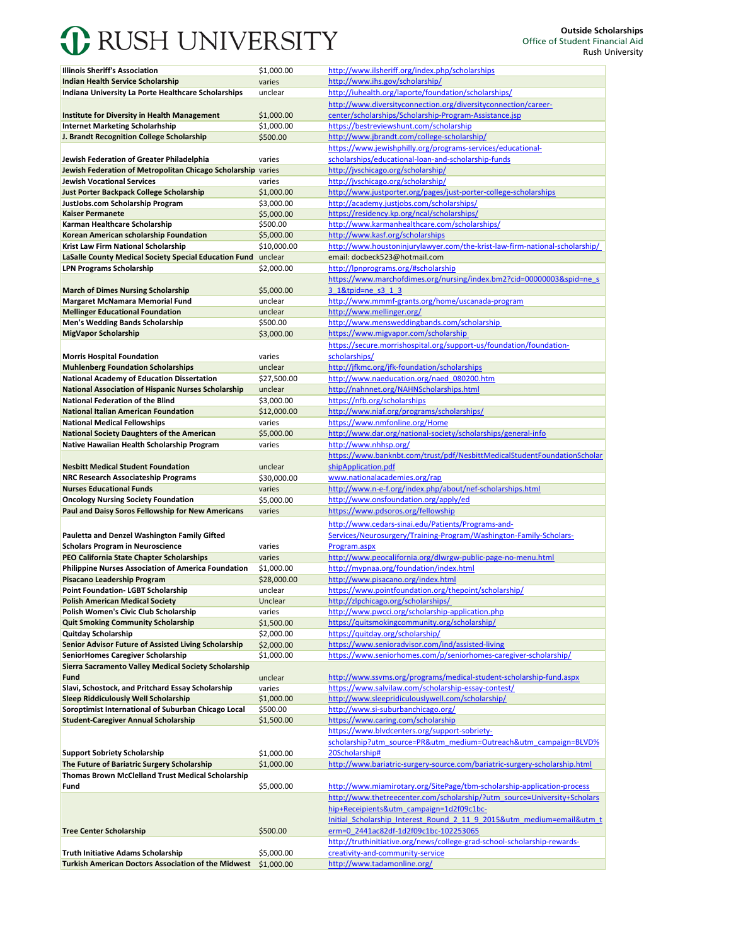## **C** RUSH UNIVERSITY

|                                                               | \$1,000.00  | http://www.ilsheriff.org/index.php/scholarships                             |
|---------------------------------------------------------------|-------------|-----------------------------------------------------------------------------|
| <b>Illinois Sheriff's Association</b>                         |             |                                                                             |
| <b>Indian Health Service Scholarship</b>                      | varies      | http://www.ihs.gov/scholarship/                                             |
| Indiana University La Porte Healthcare Scholarships           | unclear     | http://iuhealth.org/laporte/foundation/scholarships/                        |
|                                                               |             | http://www.diversityconnection.org/diversityconnection/career-              |
| <b>Institute for Diversity in Health Management</b>           | \$1,000.00  | center/scholarships/Scholarship-Program-Assistance.jsp                      |
| <b>Internet Marketing Scholarhship</b>                        | \$1,000.00  | https://bestreviewshunt.com/scholarship                                     |
| J. Brandt Recognition College Scholarship                     | \$500.00    | http://www.jbrandt.com/college-scholarship/                                 |
|                                                               |             | https://www.jewishphilly.org/programs-services/educational-                 |
|                                                               |             |                                                                             |
| Jewish Federation of Greater Philadelphia                     | varies      | scholarships/educational-loan-and-scholarship-funds                         |
| Jewish Federation of Metropolitan Chicago Scholarship varies  |             | http://jyschicago.org/scholarship/                                          |
| <b>Jewish Vocational Services</b>                             | varies      | http://jvschicago.org/scholarship/                                          |
| Just Porter Backpack College Scholarship                      | \$1,000.00  | http://www.justporter.org/pages/just-porter-college-scholarships            |
| JustJobs.com Scholarship Program                              | \$3,000.00  | http://academy.justiobs.com/scholarships/                                   |
| <b>Kaiser Permanete</b>                                       | \$5,000.00  | https://residency.kp.org/ncal/scholarships/                                 |
| Karman Healthcare Scholarship                                 | \$500.00    | http://www.karmanhealthcare.com/scholarships/                               |
| Korean American scholarship Foundation                        | \$5,000.00  | http://www.kasf.org/scholarships                                            |
| Krist Law Firm National Scholarship                           | \$10,000.00 | http://www.houstoninjurylawyer.com/the-krist-law-firm-national-scholarship/ |
|                                                               |             |                                                                             |
| LaSalle County Medical Society Special Education Fund unclear |             | email: docbeck523@hotmail.com                                               |
| <b>LPN Programs Scholarship</b>                               | \$2,000.00  | http://lpnprograms.org/#scholarship                                         |
|                                                               |             | https://www.marchofdimes.org/nursing/index.bm2?cid=00000003&spid=ne s       |
| <b>March of Dimes Nursing Scholarship</b>                     | \$5,000.00  | 3 1&tpid=ne s3 1 3                                                          |
| <b>Margaret McNamara Memorial Fund</b>                        | unclear     | http://www.mmmf-grants.org/home/uscanada-program                            |
| <b>Mellinger Educational Foundation</b>                       | unclear     | http://www.mellinger.org/                                                   |
| Men's Wedding Bands Scholarship                               | \$500.00    | http://www.mensweddingbands.com/scholarship                                 |
| MigVapor Scholarship                                          | \$3,000.00  | https://www.migvapor.com/scholarship                                        |
|                                                               |             |                                                                             |
|                                                               |             | https://secure.morrishospital.org/support-us/foundation/foundation-         |
| <b>Morris Hospital Foundation</b>                             | varies      | scholarships/                                                               |
| <b>Muhlenberg Foundation Scholarships</b>                     | unclear     | http://jfkmc.org/jfk-foundation/scholarships                                |
| <b>National Academy of Education Dissertation</b>             | \$27,500.00 | http://www.naeducation.org/naed 080200.htm                                  |
| <b>National Association of Hispanic Nurses Scholarship</b>    | unclear     | http://nahnnet.org/NAHNScholarships.html                                    |
| <b>National Federation of the Blind</b>                       | \$3,000.00  | https://nfb.org/scholarships                                                |
| <b>National Italian American Foundation</b>                   | \$12,000.00 | http://www.niaf.org/programs/scholarships/                                  |
| <b>National Medical Fellowships</b>                           | varies      | https://www.nmfonline.org/Home                                              |
|                                                               |             |                                                                             |
| <b>National Society Daughters of the American</b>             | \$5,000.00  | http://www.dar.org/national-society/scholarships/general-info               |
| Native Hawaiian Health Scholarship Program                    | varies      | http://www.nhhsp.org/                                                       |
|                                                               |             | https://www.banknbt.com/trust/pdf/NesbittMedicalStudentFoundationScholar    |
| <b>Nesbitt Medical Student Foundation</b>                     | unclear     | shipApplication.pdf                                                         |
| NRC Research Associateship Programs                           | \$30,000.00 | www.nationalacademies.org/rap                                               |
| <b>Nurses Educational Funds</b>                               | varies      | http://www.n-e-f.org/index.php/about/nef-scholarships.html                  |
| <b>Oncology Nursing Society Foundation</b>                    | \$5,000.00  | http://www.onsfoundation.org/apply/ed                                       |
| Paul and Daisy Soros Fellowship for New Americans             | varies      | https://www.pdsoros.org/fellowship                                          |
|                                                               |             |                                                                             |
|                                                               |             | http://www.cedars-sinai.edu/Patients/Programs-and-                          |
| Pauletta and Denzel Washington Family Gifted                  |             | Services/Neurosurgery/Training-Program/Washington-Family-Scholars-          |
|                                                               |             | Program.aspx                                                                |
| <b>Scholars Program in Neuroscience</b>                       | varies      |                                                                             |
|                                                               | varies      |                                                                             |
| PEO California State Chapter Scholarships                     |             | http://www.peocalifornia.org/dlwrgw-public-page-no-menu.html                |
| <b>Philippine Nurses Association of America Foundation</b>    | \$1,000.00  | http://mypnaa.org/foundation/index.html                                     |
| Pisacano Leadership Program                                   | \$28,000.00 | http://www.pisacano.org/index.html                                          |
| Point Foundation- LGBT Scholarship                            | unclear     | https://www.pointfoundation.org/thepoint/scholarship/                       |
| <b>Polish American Medical Society</b>                        | Unclear     | http://zlpchicago.org/scholarships/                                         |
| Polish Women's Civic Club Scholarship                         | varies      | http://www.pwcci.org/scholarship-application.php                            |
| <b>Quit Smoking Community Scholarship</b>                     | \$1,500.00  | https://quitsmokingcommunity.org/scholarship/                               |
| Quitday Scholarship                                           | \$2,000.00  | https://quitday.org/scholarship/                                            |
| Senior Advisor Future of Assisted Living Scholarship          | \$2,000.00  | https://www.senioradvisor.com/ind/assisted-living                           |
| SeniorHomes Caregiver Scholarship                             | \$1,000.00  | https://www.seniorhomes.com/p/seniorhomes-caregiver-scholarship/            |
| Sierra Sacramento Valley Medical Society Scholarship          |             |                                                                             |
|                                                               |             |                                                                             |
| Fund                                                          | unclear     | http://www.ssyms.org/programs/medical-student-scholarship-fund.aspx         |
| Slavi, Schostock, and Pritchard Essay Scholarship             | varies      | https://www.salvilaw.com/scholarship-essay-contest/                         |
| <b>Sleep Riddiculously Well Scholarship</b>                   | \$1,000.00  | http://www.sleepridiculouslywell.com/scholarship/                           |
| Soroptimist International of Suburban Chicago Local           | \$500.00    | http://www.si-suburbanchicago.org/                                          |
| <b>Student-Caregiver Annual Scholarship</b>                   | \$1,500.00  | https://www.caring.com/scholarship                                          |
|                                                               |             | https://www.blvdcenters.org/support-sobriety-                               |
|                                                               |             | scholarship?utm_source=PR&utm_medium=Outreach&utm_campaign=BLVD%            |
| <b>Support Sobriety Scholarship</b>                           | \$1,000.00  | 20Scholarship#                                                              |
| The Future of Bariatric Surgery Scholarship                   | \$1,000.00  | http://www.bariatric-surgery-source.com/bariatric-surgery-scholarship.html  |
| Thomas Brown McClelland Trust Medical Scholarship             |             |                                                                             |
| Fund                                                          |             |                                                                             |
|                                                               | \$5,000.00  | http://www.miamirotary.org/SitePage/tbm-scholarship-application-process     |
|                                                               |             | http://www.thetreecenter.com/scholarship/?utm source=University+Scholars    |
|                                                               |             | hip+Receipients&utm campaign=1d2f09c1bc-                                    |
|                                                               |             | Initial Scholarship Interest Round 2 11 9 2015&utm medium=email&utm t       |
| <b>Tree Center Scholarship</b>                                | \$500.00    | erm=0 2441ac82df-1d2f09c1bc-102253065                                       |
|                                                               |             | http://truthinitiative.org/news/college-grad-school-scholarship-rewards-    |
| <b>Truth Initiative Adams Scholarship</b>                     | \$5,000.00  | creativity-and-community-service                                            |